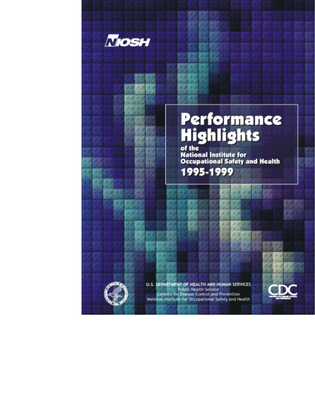

х

×

٠

53

х

# Performance **Highlights**

of the **National Institute for<br>Occupational Safety and Health** 1995-1999

٠

ы ы



AND HUMAN SERVICES **U.S. DEPARTMENT OF HFA** Public Health Service **Centers for Disease Control and Prevention** National Institute for Occupational Safety and Health

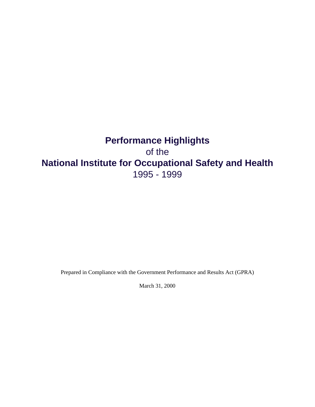## **Performance Highlights** of the **National Institute for Occupational Safety and Health** 1995 - 1999

Prepared in Compliance with the Government Performance and Results Act (GPRA)

March 31, 2000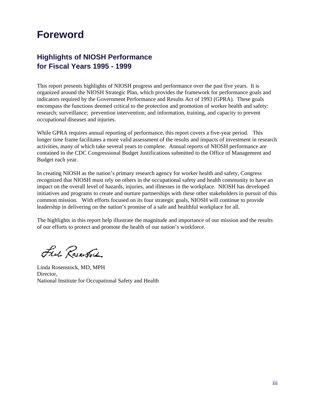## **Foreword**

## **Highlights of NIOSH Performance for Fiscal Years 1995 - 1999**

This report presents highlights of NIOSH progress and performance over the past five years. It is organized around the NIOSH Strategic Plan, which provides the framework for performance goals and indicators required by the Government Performance and Results Act of 1993 (GPRA). These goals encompass the functions deemed critical to the protection and promotion of worker health and safety: research; surveillance; prevention intervention; and information, training, and capacity to prevent occupational diseases and injuries.

While GPRA requires annual reporting of performance, this report covers a five-year period. This longer time frame facilitates a more valid assessment of the results and impacts of investment in research activities, many of which take several years to complete. Annual reports of NIOSH performance are contained in the CDC Congressional Budget Justifications submitted to the Office of Management and Budget each year.

In creating NIOSH as the nation's primary research agency for worker health and safety, Congress recognized that NIOSH must rely on others in the occupational safety and health community to have an impact on the overall level of hazards, injuries, and illnesses in the workplace. NIOSH has developed initiatives and programs to create and nurture partnerships with these other stakeholders in pursuit of this common mission. With efforts focused on its four strategic goals, NIOSH will continue to provide leadership in delivering on the nation's promise of a safe and healthful workplace for all.

The highlights in this report help illustrate the magnitude and importance of our mission and the results of our efforts to protect and promote the health of our nation's workforce.

Ful Reserve

Linda Rosenstock, MD, MPH Director, National Institute for Occupational Safety and Health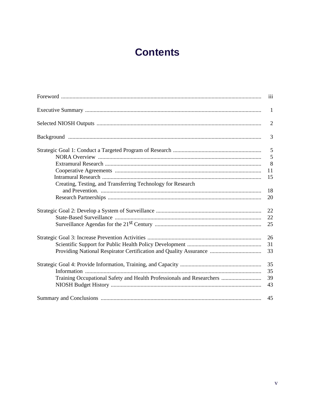## **Contents**

|                                                                       | iii            |
|-----------------------------------------------------------------------|----------------|
|                                                                       | $\mathbf{1}$   |
|                                                                       | $\overline{2}$ |
|                                                                       | 3              |
|                                                                       | 5              |
|                                                                       | 5              |
|                                                                       | 8              |
|                                                                       | 11             |
|                                                                       | 15             |
| Creating, Testing, and Transferring Technology for Research           |                |
|                                                                       | 18             |
|                                                                       | 20             |
|                                                                       |                |
|                                                                       | 22             |
|                                                                       | 22             |
|                                                                       | 25             |
|                                                                       |                |
|                                                                       | 26             |
|                                                                       | 31             |
| Providing National Respirator Certification and Quality Assurance     | 33             |
|                                                                       |                |
|                                                                       | 35             |
|                                                                       | 35             |
| Training Occupational Safety and Health Professionals and Researchers | 39             |
|                                                                       | 43             |
|                                                                       |                |
|                                                                       | 45             |
|                                                                       |                |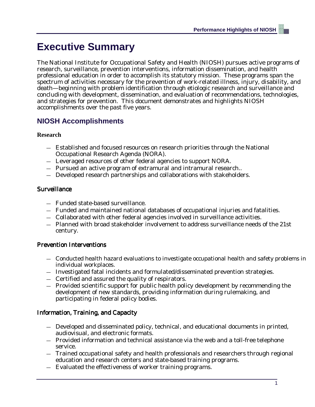## **Executive Summary**

The National Institute for Occupational Safety and Health (NIOSH) pursues active programs of research, surveillance, prevention interventions, information dissemination, and health professional education in order to accomplish its statutory mission. These programs span the spectrum of activities necessary for the prevention of work-related illness, injury, disability, and death—beginning with problem identification through etiologic research and surveillance and concluding with development, dissemination, and evaluation of recommendations, technologies, and strategies for prevention. This document demonstrates and highlights NIOSH accomplishments over the past five years.

## **NIOSH Accomplishments**

#### **Research**

- Established and focused resources on research priorities through the National Occupational Research Agenda (NORA).
- Leveraged resources of other federal agencies to support NORA.
- Pursued an active program of extramural and intramural research..
- Developed research partnerships and collaborations with stakeholders.

#### Surveillance

- Funded state-based surveillance.
- Funded and maintained national databases of occupational injuries and fatalities.
- Collaborated with other federal agencies involved in surveillance activities.
- Planned with broad stakeholder involvement to address surveillance needs of the 21st century.

### Prevention Interventions

- Conducted health hazard evaluations to investigate occupational health and safety problems in individual workplaces.
- Investigated fatal incidents and formulated/disseminated prevention strategies.
- Certified and assured the quality of respirators.
- Provided scientific support for public health policy development by recommending the development of new standards, providing information during rulemaking, and participating in federal policy bodies.

### Information, Training, and Capacity

- Developed and disseminated policy, technical, and educational documents in printed, audiovisual, and electronic formats.
- Provided information and technical assistance via the web and a toll-free telephone service.
- Trained occupational safety and health professionals and researchers through regional education and research centers and state-based training programs.
- Evaluated the effectiveness of worker training programs.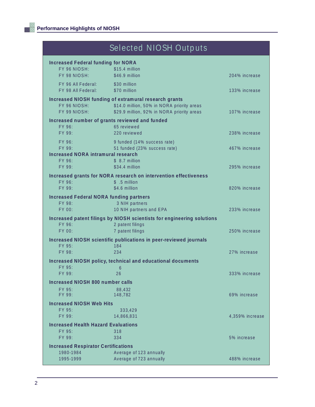|                                                           | Selected NIOSH Outputs                                                                   |                 |
|-----------------------------------------------------------|------------------------------------------------------------------------------------------|-----------------|
| <b>Increased Federal funding for NORA</b><br>FY 96 NIOSH: | \$15.4 million                                                                           |                 |
| FY 98 NIOSH:                                              | \$46.9 million                                                                           | 204% increase   |
| FY 96 All Federal: \$30 million<br>FY 98 All Federal:     | \$70 million                                                                             | 133% increase   |
|                                                           | Increased NIOSH funding of extramural research grants                                    |                 |
| FY 96 NIOSH:<br>FY 99 NIOSH:                              | \$14.0 million, 50% in NORA priority areas<br>\$29.9 million, 92% in NORA priority areas | 107% increase   |
|                                                           | Increased number of grants reviewed and funded                                           |                 |
| FY 96:<br>FY 99:                                          | 65 reviewed<br>220 reviewed                                                              | 238% increase   |
| FY 96:                                                    | 9 funded (14% success rate)                                                              |                 |
| FY 99:                                                    | 51 funded (23% success rate)                                                             | 467% increase   |
| <b>Increased NORA intramural research</b>                 |                                                                                          |                 |
| FY 96:<br>FY 99:                                          | $$8.7$ million<br>\$34.4 million                                                         | 295% increase   |
|                                                           | Increased grants for NORA research on intervention effectiveness                         |                 |
| FY 96:                                                    | $$.5$ million                                                                            |                 |
| FY 99:                                                    | \$4.6 million                                                                            | 820% increase   |
| <b>Increased Federal NORA funding partners</b>            |                                                                                          |                 |
| FY 98:<br>FY 00:                                          | 3 NIH partners<br>10 NIH partners and EPA                                                | 233% increase   |
|                                                           | Increased patent filings by NIOSH scientists for engineering solutions                   |                 |
| FY 96:                                                    | 2 patent filings                                                                         |                 |
| FY 00:                                                    | 7 patent filings                                                                         | 250% increase   |
|                                                           | Increased NIOSH scientific publications in peer-reviewed journals                        |                 |
| FY 95:<br>FY 98:                                          | 184<br>234                                                                               | 27% increase    |
|                                                           | Increased NIOSH policy, technical and educational documents                              |                 |
| FY 95:                                                    | 6                                                                                        |                 |
| FY 99:                                                    | 26                                                                                       | 333% increase   |
| Increased NIOSH 800 number calls                          |                                                                                          |                 |
| FY 95:<br>FY 99:                                          | 88,432<br>148,782                                                                        | 69% increase    |
| <b>Increased NIOSH Web Hits</b>                           |                                                                                          |                 |
| FY 95:                                                    | 333,429                                                                                  |                 |
| FY 99:                                                    | 14,866,831                                                                               | 4,359% increase |
| <b>Increased Health Hazard Evaluations</b><br>FY 95:      | 318                                                                                      |                 |
| FY 99:                                                    | 334                                                                                      | 5% increase     |
| <b>Increased Respirator Certifications</b>                |                                                                                          |                 |
| 1980-1984                                                 | Average of 123 annually                                                                  |                 |
| 1995-1999                                                 | Average of 723 annually                                                                  | 488% increase   |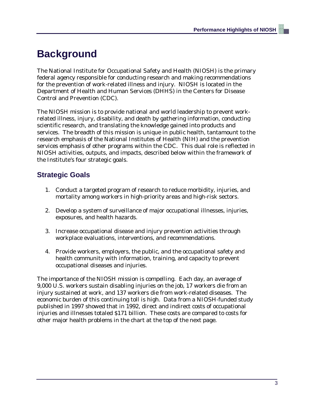## **Background**

The National Institute for Occupational Safety and Health (NIOSH) is the primary federal agency responsible for conducting research and making recommendations for the prevention of work-related illness and injury. NIOSH is located in the Department of Health and Human Services (DHHS) in the Centers for Disease Control and Prevention (CDC).

The NIOSH mission is to provide national and world leadership to prevent workrelated illness, injury, disability, and death by gathering information, conducting scientific research, and translating the knowledge gained into products and services. The breadth of this mission is unique in public health, tantamount to the research emphasis of the National Institutes of Health (NIH) and the prevention services emphasis of other programs within the CDC. This dual role is reflected in NIOSH activities, outputs, and impacts, described below within the framework of the Institute's four strategic goals.

## **Strategic Goals**

- 1. Conduct a targeted program of research to reduce morbidity, injuries, and mortality among workers in high-priority areas and high-risk sectors.
- 2. Develop a system of surveillance of major occupational illnesses, injuries, exposures, and health hazards.
- 3. Increase occupational disease and injury prevention activities through workplace evaluations, interventions, and recommendations.
- 4. Provide workers, employers, the public, and the occupational safety and health community with information, training, and capacity to prevent occupational diseases and injuries.

The importance of the NIOSH mission is compelling. Each day, an average of 9,000 U.S. workers sustain disabling injuries on the job, 17 workers die from an injury sustained at work, and 137 workers die from work-related diseases. The economic burden of this continuing toll is high. Data from a NIOSH-funded study published in 1997 showed that in 1992, direct and indirect costs of occupational injuries and illnesses totaled \$171 billion. These costs are compared to costs for other major health problems in the chart at the top of the next page.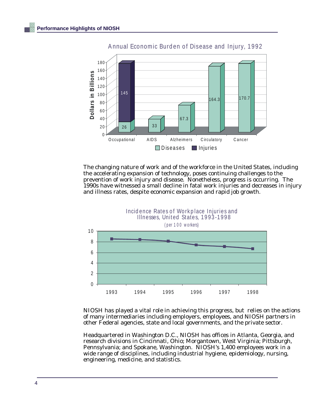

Annual Economic Burden of Disease and Injury, 1992

The changing nature of work and of the workforce in the United States, including the accelerating expansion of technology, poses continuing challenges to the prevention of work injury and disease. Nonetheless, progress is occurring. The 1990s have witnessed a small decline in fatal work injuries and decreases in injury and illness rates, despite economic expansion and rapid job growth.



NIOSH has played a vital role in achieving this progress, but relies on the actions of many intermediaries including employers, employees, and NIOSH partners in other Federal agencies, state and local governments, and the private sector.

Headquartered in Washington D.C., NIOSH has offices in Atlanta, Georgia, and research divisions in Cincinnati, Ohio; Morgantown, West Virginia; Pittsburgh, Pennsylvania; and Spokane, Washington. NIOSH's 1,400 employees work in a wide range of disciplines, including industrial hygiene, epidemiology, nursing, engineering, medicine, and statistics.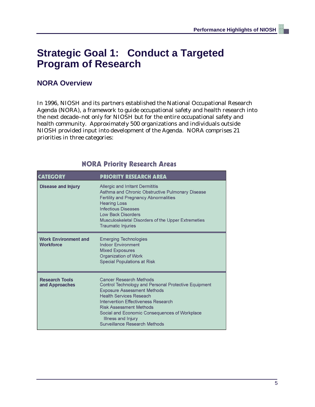## **Strategic Goal 1: Conduct a Targeted Program of Research**

## **NORA Overview**

In 1996, NIOSH and its partners established the National Occupational Research Agenda (NORA), a framework to guide occupational safety and health research into the next decade–not only for NIOSH but for the entire occupational safety and health community. Approximately 500 organizations and individuals outside NIOSH provided input into development of the Agenda. NORA comprises 21 priorities in three categories:

| <b>CATEGORY</b>                          | <b>PRIORITY RESEARCH AREA</b>                                                                                                                                                                                                                                                                                                                   |
|------------------------------------------|-------------------------------------------------------------------------------------------------------------------------------------------------------------------------------------------------------------------------------------------------------------------------------------------------------------------------------------------------|
| <b>Disease and Injury</b>                | Allergic and Irritant Dermititis<br>Asthma and Chronic Obstructive Pulmonary Disease<br><b>Fertility and Pregnancy Abnormalities</b><br><b>Hearing Loss</b><br><b>Infectious Diseases</b><br><b>Low Back Disorders</b><br>Musculoskeletal Disorders of the Upper Extremeties<br><b>Traumatic Injuries</b>                                       |
| <b>Work Environment and</b><br>Workforce | <b>Emerging Technologies</b><br><b>Indoor Environment</b><br><b>Mixed Exposures</b><br>Organization of Work<br>Special Populations at Risk                                                                                                                                                                                                      |
| <b>Research Tools</b><br>and Approaches  | <b>Cancer Research Methods</b><br>Control Technology and Personal Protective Equipment<br><b>Exposure Assessment Methods</b><br><b>Health Services Reseach</b><br>Intervention Effectiveness Research<br><b>Risk Assessment Methods</b><br>Social and Economic Consequences of Workplace<br>Illness and Injury<br>Surveillance Research Methods |

## **NORA Priority Research Areas**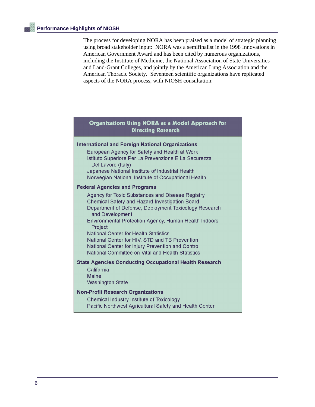The process for developing NORA has been praised as a model of strategic planning using broad stakeholder input: NORA was a semifinalist in the 1998 Innovations in American Government Award and has been cited by numerous organizations, including the Institute of Medicine, the National Association of State Universities and Land-Grant Colleges, and jointly by the American Lung Association and the American Thoracic Society. Seventeen scientific organizations have replicated aspects of the NORA process, with NIOSH consultation:

#### Organizations Using NORA as a Model Approach for **Directing Research**

#### **International and Foreign National Organizations** European Agency for Safety and Health at Work Istituto Superiore Per La Prevenzione E La Securezza Del Lavoro (Italy) Japanese National Institute of Industrial Health Norwegian National Institute of Occupational Health **Federal Agencies and Programs Agency for Toxic Substances and Disease Registry** Chemical Safety and Hazard Investigation Board Department of Defense, Deployment Toxicology Research and Development **Environmental Protection Agency, Human Health Indoors** Project **National Center for Health Statistics** National Center for HIV, STD and TB Prevention National Center for Injury Prevention and Control National Committee on Vital and Health Statistics **State Agencies Conducting Occupational Health Research** California **Maine Washington State**

## **Non-Profit Research Organizations**

**Chemical Industry Institute of Toxicology** Pacific Northwest Agricultural Safety and Health Center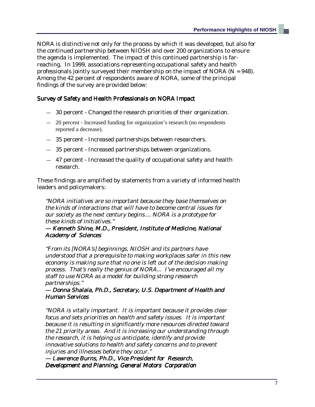NORA is distinctive not only for the process by which it was developed, but also for the continued partnership between NIOSH and over 200 organizations to ensure the agenda is implemented. The impact of this continued partnership is farreaching. In 1999, associations representing occupational safety and health professionals jointly surveyed their membership on the impact of NORA ( $N = 948$ ). Among the 42 percent of respondents aware of NORA, some of the principal findings of the survey are provided below:

#### Survey of Safety and Health Professionals on NORA Impact

- 30 percent Changed the research priorities of their organization.
- 20 percent Increased funding for organization's research (no respondents reported a decrease).
- 35 percent Increased partnerships between researchers.
- 35 percent Increased partnerships between organizations.
- 47 percent Increased the quality of occupational safety and health research.

These findings are amplified by statements from a variety of informed health leaders and policymakers:

"NORA initiatives are so important because they base themselves on the kinds of interactions that will have to become central issues for our society as the next century begins.... NORA is a prototype for these kinds of initiatives."

#### — Kenneth Shine, M.D., President, Institute of Medicine, National Academy of Sciences

"From its [NORA's] beginnings, NIOSH and its partners have understood that a prerequisite to making workplaces safer in this new economy is making sure that no one is left out of the decision making process. That's really the genius of NORA... I've encouraged all my staff to use NORA as a model for building strong research partnerships."

#### — Donna Shalala, Ph.D., Secretary, U.S. Department of Health and Human Services

"NORA is vitally important. It is important because it provides clear focus and sets priorities on health and safety issues. It is important because it is resulting in significantly more resources directed toward the 21 priority areas. And it is increasing our understanding through the research, it is helping us anticipate, identify and provide innovative solutions to health and safety concerns and to prevent injuries and illnesses before they occur.'

— Lawrence Burns, Ph.D., Vice President for Research, Development and Planning, General Motors Corporation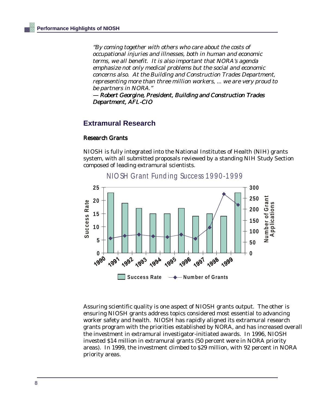"By coming together with others who care about the costs of occupational injuries and illnesses, both in human and economic terms, we all benefit. It is also important that NORA's agenda emphasize not only medical problems but the social and economic concerns also. At the Building and Construction Trades Department, representing more than three million workers, ... we are very proud to be partners in NORA."

— Robert Georgine, President, Building and Construction Trades Department, AFL-CIO

#### **Extramural Research**

#### Research Grants

NIOSH is fully integrated into the National Institutes of Health (NIH) grants system, with all submitted proposals reviewed by a standing NIH Study Section composed of leading extramural scientists.



Assuring scientific quality is one aspect of NIOSH grants output. The other is ensuring NIOSH grants address topics considered most essential to advancing worker safety and health. NIOSH has rapidly aligned its extramural research grants program with the priorities established by NORA, and has increased overall the investment in extramural investigator-initiated awards. In 1996, NIOSH invested \$14 million in extramural grants (50 percent were in NORA priority areas). In 1999, the investment climbed to \$29 million, with 92 percent in NORA priority areas.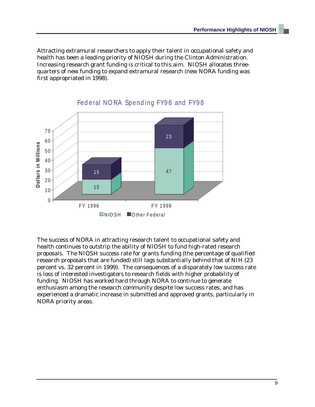Attracting extramural researchers to apply their talent in occupational safety and health has been a leading priority of NIOSH during the Clinton Administration. Increasing research grant funding is critical to this aim. NIOSH allocates threequarters of new funding to expand extramural research (new NORA funding was first appropriated in 1998).



The success of NORA in attracting research talent to occupational safety and health continues to outstrip the ability of NIOSH to fund high-rated research proposals. The NIOSH success rate for grants funding (the percentage of qualified research proposals that are funded) still lags substantially behind that of NIH (23 percent vs. 32 percent in 1999). The consequences of a disparately low success rate is loss of interested investigators to research fields with higher probability of funding. NIOSH has worked hard through NORA to continue to generate enthusiasm among the research community despite low success rates, and has experienced a dramatic increase in submitted and approved grants, particularly in NORA priority areas.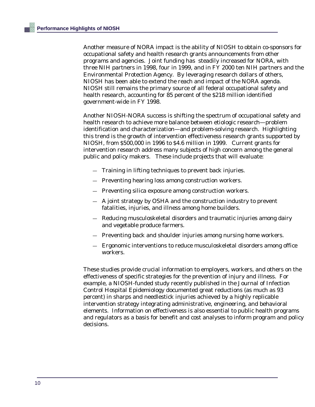Another measure of NORA impact is the ability of NIOSH to obtain co-sponsors for occupational safety and health research grants announcements from other programs and agencies. Joint funding has steadily increased for NORA, with three NIH partners in 1998, four in 1999, and in FY 2000 ten NIH partners and the Environmental Protection Agency. By leveraging research dollars of others, NIOSH has been able to extend the reach and impact of the NORA agenda. NIOSH still remains the primary source of all federal occupational safety and health research, accounting for 85 percent of the \$218 million identified government-wide in FY 1998.

Another NIOSH-NORA success is shifting the spectrum of occupational safety and health research to achieve more balance between etiologic research—problem identification and characterization—and problem-solving research. Highlighting this trend is the growth of intervention effectiveness research grants supported by NIOSH, from \$500,000 in 1996 to \$4.6 million in 1999. Current grants for intervention research address many subjects of high concern among the general public and policy makers. These include projects that will evaluate:

- Training in lifting techniques to prevent back injuries.
- Preventing hearing loss among construction workers.
- Preventing silica exposure among construction workers.
- A joint strategy by OSHA and the construction industry to prevent fatalities, injuries, and illness among home builders.
- Reducing musculoskeletal disorders and traumatic injuries among dairy and vegetable produce farmers.
- Preventing back and shoulder injuries among nursing home workers.
- Ergonomic interventions to reduce musculoskeletal disorders among office workers.

These studies provide crucial information to employers, workers, and others on the effectiveness of specific strategies for the prevention of injury and illness. For example, a NIOSH-funded study recently published in the Journal of Infection Control Hospital Epidemiology documented great reductions (as much as 93 percent) in sharps and needlestick injuries achieved by a highly replicable intervention strategy integrating administrative, engineering, and behavioral elements. Information on effectiveness is also essential to public health programs and regulators as a basis for benefit and cost analyses to inform program and policy decisions.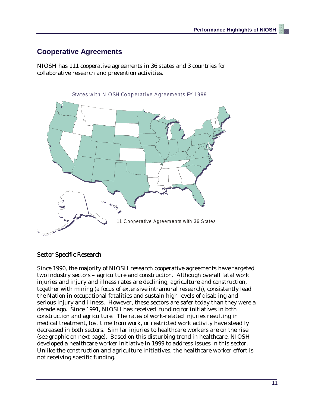### **Cooperative Agreements**

NIOSH has 111 cooperative agreements in 36 states and 3 countries for collaborative research and prevention activities.



#### Sector Specific Research

Since 1990, the majority of NIOSH research cooperative agreements have targeted two industry sectors – agriculture and construction. Although overall fatal work injuries and injury and illness rates are declining, agriculture and construction, together with mining (a focus of extensive intramural research), consistently lead the Nation in occupational fatalities and sustain high levels of disabling and serious injury and illness. However, these sectors are safer today than they were a decade ago. Since 1991, NIOSH has received funding for initiatives in both construction and agriculture. The rates of work-related injuries resulting in medical treatment, lost time from work, or restricted work activity have steadily decreased in both sectors. Similar injuries to healthcare workers are on the rise (see graphic on next page). Based on this disturbing trend in healthcare, NIOSH developed a healthcare worker initiative in 1999 to address issues in this sector. Unlike the construction and agriculture initiatives, the healthcare worker effort is not receiving specific funding.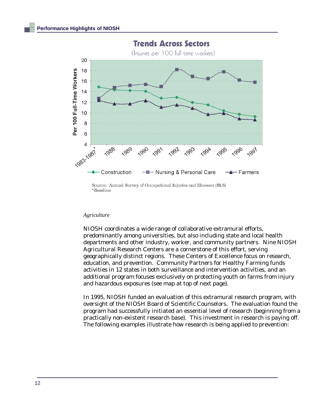

**Trends Across Sectors** 

Source: Annual Survey of Occupational Injuries and Illnesses (BLS) \*Baseline

#### *Agriculture*

NIOSH coordinates a wide range of collaborative extramural efforts, predominantly among universities, but also including state and local health departments and other industry, worker, and community partners. Nine NIOSH Agricultural Research Centers are a cornerstone of this effort, serving geographically distinct regions. These Centers of Excellence focus on research, education, and prevention. Community Partners for Healthy Farming funds activities in 12 states in both surveillance and intervention activities, and an additional program focuses exclusively on protecting youth on farms from injury and hazardous exposures (see map at top of next page).

In 1995, NIOSH funded an evaluation of this extramural research program, with oversight of the NIOSH Board of Scientific Counselors. The evaluation found the program had successfully initiated an essential level of research (beginning from a practically non-existent research base). This investment in research is paying off. The following examples illustrate how research is being applied to prevention: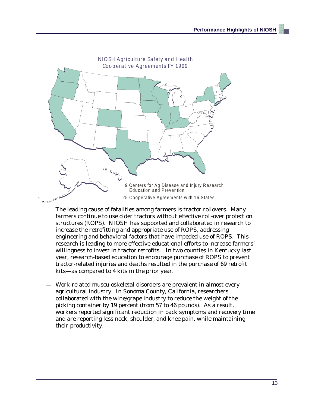

- The leading cause of fatalities among farmers is tractor rollovers. Many farmers continue to use older tractors without effective roll-over protection structures (ROPS). NIOSH has supported and collaborated in research to increase the retrofitting and appropriate use of ROPS, addressing engineering and behavioral factors that have impeded use of ROPS. This research is leading to more effective educational efforts to increase farmers' willingness to invest in tractor retrofits. In two counties in Kentucky last year, research-based education to encourage purchase of ROPS to prevent tractor-related injuries and deaths resulted in the purchase of 69 retrofit kits—as compared to 4 kits in the prior year.
- Work-related musculoskeletal disorders are prevalent in almost every agricultural industry. In Sonoma County, California, researchers collaborated with the wine/grape industry to reduce the weight of the picking container by 19 percent (from 57 to 46 pounds). As a result, workers reported significant reduction in back symptoms and recovery time and are reporting less neck, shoulder, and knee pain, while maintaining their productivity.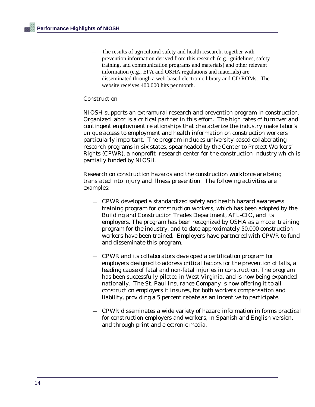The results of agricultural safety and health research, together with prevention information derived from this research (e.g., guidelines, safety training, and communication programs and materials) and other relevant information (e.g., EPA and OSHA regulations and materials) are disseminated through a web-based electronic library and CD ROMs. The website receives 400,000 hits per month.

#### Construction

NIOSH supports an extramural research and prevention program in construction. Organized labor is a critical partner in this effort. The high rates of turnover and contingent employment relationships that characterize the industry make labor's unique access to employment and health information on construction workers particularly important. The program includes university-based collaborating research programs in six states, spearheaded by the Center to Protect Workers' Rights (CPWR), a nonprofit research center for the construction industry which is partially funded by NIOSH.

Research on construction hazards and the construction workforce are being translated into injury and illness prevention. The following activities are examples:

- CPWR developed a standardized safety and health hazard awareness training program for construction workers, which has been adopted by the Building and Construction Trades Department, AFL-CIO, and its employers. The program has been recognized by OSHA as a model training program for the industry, and to date approximately 50,000 construction workers have been trained. Employers have partnered with CPWR to fund and disseminate this program.
- CPWR and its collaborators developed a certification program for employers designed to address critical factors for the prevention of falls, a leading cause of fatal and non-fatal injuries in construction. The program has been successfully piloted in West Virginia, and is now being expanded nationally. The St. Paul Insurance Company is now offering it to all construction employers it insures, for both workers compensation and liability, providing a 5 percent rebate as an incentive to participate.
- CPWR disseminates a wide variety of hazard information in forms practical for construction employers and workers, in Spanish and English version, and through print and electronic media.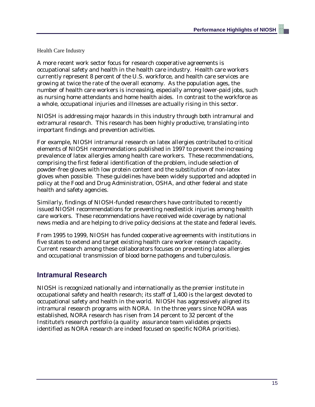Health Care Industry

A more recent work sector focus for research cooperative agreements is occupational safety and health in the health care industry. Health care workers currently represent 8 percent of the U.S. workforce, and health care services are growing at twice the rate of the overall economy. As the population ages, the number of health care workers is increasing, especially among lower-paid jobs, such as nursing home attendants and home health aides. In contrast to the workforce as a whole, occupational injuries and illnesses are actually rising in this sector.

NIOSH is addressing major hazards in this industry through both intramural and extramural research. This research has been highly productive, translating into important findings and prevention activities.

For example, NIOSH intramural research on latex allergies contributed to critical elements of NIOSH recommendations published in 1997 to prevent the increasing prevalence of latex allergies among health care workers. These recommendations, comprising the first federal identification of the problem, include selection of powder-free gloves with low protein content and the substitution of non-latex gloves when possible. These guidelines have been widely supported and adopted in policy at the Food and Drug Administration, OSHA, and other federal and state health and safety agencies.

Similarly, findings of NIOSH-funded researchers have contributed to recently issued NIOSH recommendations for preventing needlestick injuries among health care workers. These recommendations have received wide coverage by national news media and are helping to drive policy decisions at the state and federal levels.

From 1995 to 1999, NIOSH has funded cooperative agreements with institutions in five states to extend and target existing health care worker research capacity. Current research among these collaborators focuses on preventing latex allergies and occupational transmission of blood borne pathogens and tuberculosis.

### **Intramural Research**

NIOSH is recognized nationally and internationally as the premier institute in occupational safety and health research; its staff of 1,400 is the largest devoted to occupational safety and health in the world. NIOSH has aggressively aligned its intramural research programs with NORA. In the three years since NORA was established, NORA research has risen from 14 percent to 32 percent of the Institute's research portfolio (a quality assurance team validates projects identified as NORA research are indeed focused on specific NORA priorities).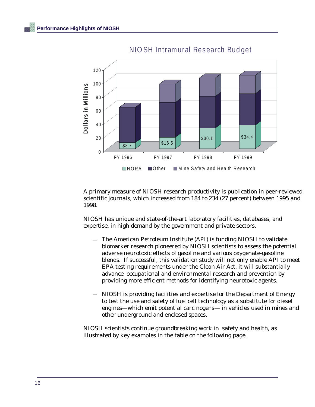

NIO SH Intramural Research Budget

A primary measure of NIOSH research productivity is publication in peer-reviewed scientific journals, which increased from 184 to 234 (27 percent) between 1995 and 1998.

NIOSH has unique and state-of-the-art laboratory facilities, databases, and expertise, in high demand by the government and private sectors.

- — The American Petroleum Institute (API) is funding NIOSH to validate biomarker research pioneered by NIOSH scientists to assess the potential adverse neurotoxic effects of gasoline and various oxygenate-gasoline blends. If successful, this validation study will not only enable API to meet EPA testing requirements under the Clean Air Act, it will substantially advance occupational and environmental research and prevention by providing more efficient methods for identifying neurotoxic agents.
- NIOSH is providing facilities and expertise for the Department of Energy to test the use and safety of fuel cell technology as a substitute for diesel engines—which emit potential carcinogens— in vehicles used in mines and other underground and enclosed spaces.

NIOSH scientists continue groundbreaking work in safety and health, as illustrated by key examples in the table on the following page.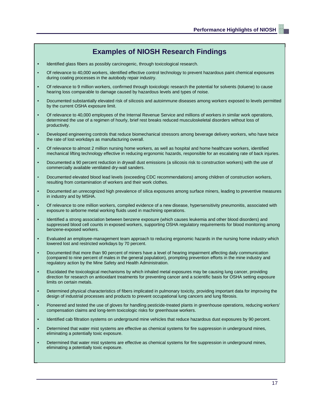## **Examples of NIOSH Research Findings**

- Identified glass fibers as possibly carcinogenic, through toxicological research.
- Of relevance to 40,000 workers, identified effective control technology to prevent hazardous paint chemical exposures during coating processes in the autobody repair industry.
- Of relevance to 9 million workers, confirmed through toxicologic research the potential for solvents (toluene) to cause hearing loss comparable to damage caused by hazardous levels and types of noise.
- Documented substantially elevated risk of silicosis and autoimmune diseases among workers exposed to levels permitted by the current OSHA exposure limit.
- Of relevance to 40,000 employees of the Internal Revenue Service and millions of workers in similar work operations, determined the use of a regimen of hourly, brief rest breaks reduced musculoskeletal disorders without loss of productivity.
- Developed engineering controls that reduce biomechanical stressors among beverage delivery workers, who have twice the rate of lost workdays as manufacturing overall.
- Of relevance to almost 2 million nursing home workers, as well as hospital and home healthcare workers, identified mechanical lifting technology effective in reducing ergonomic hazards, responsible for an escalating rate of back injuries.
- Documented a 90 percent reduction in drywall dust emissions (a silicosis risk to construction workers) with the use of commercially available ventilated dry-wall sanders.
- Documented elevated blood lead levels (exceeding CDC recommendations) among children of construction workers, resulting from contamination of workers and their work clothes.
- Documented an unrecognized high prevalence of silica exposures among surface miners, leading to preventive measures in industry and by MSHA.
- Of relevance to one million workers, compiled evidence of a new disease, hypersensitivity pneumonitis, associated with exposure to airborne metal working fluids used in machining operations.
- Identified a strong association between benzene exposure (which causes leukemia and other blood disorders) and suppressed blood cell counts in exposed workers, supporting OSHA regulatory requirements for blood monitoring among benzene-exposed workers.
- Evaluated an employee-management team approach to reducing ergonomic hazards in the nursing home industry which lowered lost and restricted workdays by 70 percent.
- Documented that more than 90 percent of miners have a level of hearing impairment affecting daily communication (compared to nine percent of males in the general population), prompting prevention efforts in the mine industry and regulatory action by the Mine Safety and Health Administration.
- Elucidated the toxicological mechanisms by which inhaled metal exposures may be causing lung cancer, providing direction for research on antioxidant treatments for preventing cancer and a scientific basis for OSHA setting exposure limits on certain metals.
- Determined physical characteristics of fibers implicated in pulmonary toxicity, providing important data for improving the design of industrial processes and products to prevent occupational lung cancers and lung fibrosis.
- Pioneered and tested the use of gloves for handling pesticide-treated plants in greenhouse operations, reducing workers' compensation claims and long-term toxicologic risks for greenhouse workers.
- Identified cab filtration systems on underground mine vehicles that reduce hazardous dust exposures by 90 percent.
- Determined that water mist systems are effective as chemical systems for fire suppression in underground mines, eliminating a potentially toxic exposure.
- Determined that water mist systems are effective as chemical systems for fire suppression in underground mines, eliminating a potentially toxic exposure.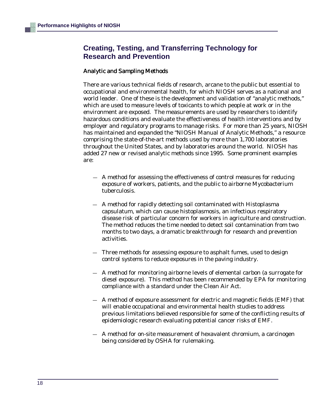## **Creating, Testing, and Transferring Technology for Research and Prevention**

#### Analytic and Sampling Methods

There are various technical fields of research, arcane to the public but essential to occupational and environmental health, for which NIOSH serves as a national and world leader. One of these is the development and validation of "analytic methods," which are used to measure levels of toxicants to which people at work or in the environment are exposed. The measurements are used by researchers to identify hazardous conditions and evaluate the effectiveness of health interventions and by employer and regulatory programs to manage risks. For more than 25 years, NIOSH has maintained and expanded the "NIOSH Manual of Analytic Methods," a resource comprising the state-of-the-art methods used by more than 1,700 laboratories throughout the United States, and by laboratories around the world. NIOSH has added 27 new or revised analytic methods since 1995. Some prominent examples are:

- A method for assessing the effectiveness of control measures for reducing exposure of workers, patients, and the public to airborne Mycobacterium tuberculosis.
- A method for rapidly detecting soil contaminated with Histoplasma capsulatum, which can cause histoplasmosis, an infectious respiratory disease risk of particular concern for workers in agriculture and construction. The method reduces the time needed to detect soil contamination from two months to two days, a dramatic breakthrough for research and prevention activities.
- Three methods for assessing exposure to asphalt fumes, used to design control systems to reduce exposures in the paving industry.
- A method for monitoring airborne levels of elemental carbon (a surrogate for diesel exposure). This method has been recommended by EPA for monitoring compliance with a standard under the Clean Air Act.
- A method of exposure assessment for electric and magnetic fields (EMF) that will enable occupational and environmental health studies to address previous limitations believed responsible for some of the conflicting results of epidemiologic research evaluating potential cancer risks of EMF.
- A method for on-site measurement of hexavalent chromium, a carcinogen being considered by OSHA for rulemaking.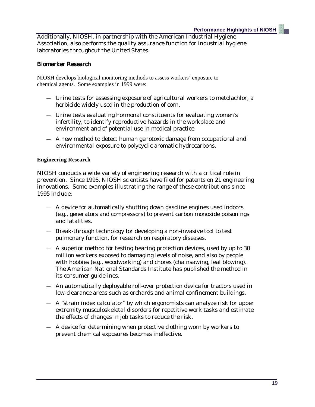Additionally, NIOSH, in partnership with the American Industrial Hygiene Association, also performs the quality assurance function for industrial hygiene laboratories throughout the United States.

#### Biomarker Research

NIOSH develops biological monitoring methods to assess workers' exposure to chemical agents. Some examples in 1999 were:

- Urine tests for assessing exposure of agricultural workers to metolachlor, a herbicide widely used in the production of corn.
- Urine tests evaluating hormonal constituents for evaluating women's infertility, to identify reproductive hazards in the workplace and environment and of potential use in medical practice.
- A new method to detect human genotoxic damage from occupational and environmental exposure to polycyclic aromatic hydrocarbons.

#### **Engineering Research**

NIOSH conducts a wide variety of engineering research with a critical role in prevention. Since 1995, NIOSH scientists have filed for patents on 21 engineering innovations. Some examples illustrating the range of these contributions since 1995 include:

- A device for automatically shutting down gasoline engines used indoors (e.g., generators and compressors) to prevent carbon monoxide poisonings and fatalities.
- Break-through technology for developing a non-invasive tool to test pulmonary function, for research on respiratory diseases.
- A superior method for testing hearing protection devices, used by up to 30 million workers exposed to damaging levels of noise, and also by people with hobbies (e.g., woodworking) and chores (chainsawing, leaf blowing). The American National Standards Institute has published the method in its consumer guidelines.
- An automatically deployable roll-over protection device for tractors used in low-clearance areas such as orchards and animal confinement buildings.
- A "strain index calculator" by which ergonomists can analyze risk for upper extremity musculoskeletal disorders for repetitive work tasks and estimate the effects of changes in job tasks to reduce the risk.
- A device for determining when protective clothing worn by workers to prevent chemical exposures becomes ineffective.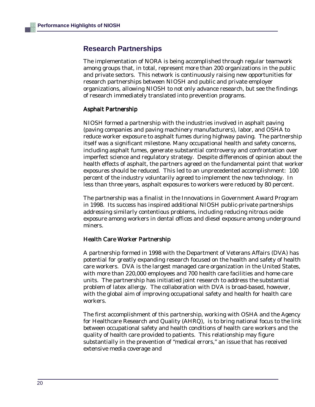### **Research Partnerships**

The implementation of NORA is being accomplished through regular teamwork among groups that, in total, represent more than 200 organizations in the public and private sectors. This network is continuously raising new opportunities for research partnerships between NIOSH and public and private employer organizations, allowing NIOSH to not only advance research, but see the findings of research immediately translated into prevention programs.

#### Asphalt Partnership

NIOSH formed a partnership with the industries involved in asphalt paving (paving companies and paving machinery manufacturers), labor, and OSHA to reduce worker exposure to asphalt fumes during highway paving. The partnership itself was a significant milestone. Many occupational health and safety concerns, including asphalt fumes, generate substantial controversy and confrontation over imperfect science and regulatory strategy. Despite differences of opinion about the health effects of asphalt, the partners agreed on the fundamental point that worker exposures should be reduced. This led to an unprecedented accomplishment: 100 percent of the industry voluntarily agreed to implement the new technology. In less than three years, asphalt exposures to workers were reduced by 80 percent.

The partnership was a finalist in the Innovations in Government Award Program in 1998. Its success has inspired additional NIOSH public-private partnerships addressing similarly contentious problems, including reducing nitrous oxide exposure among workers in dental offices and diesel exposure among underground miners.

#### Health Care Worker Partnership

A partnership formed in 1998 with the Department of Veterans Affairs (DVA) has potential for greatly expanding research focused on the health and safety of health care workers. DVA is the largest managed care organization in the United States, with more than 220,000 employees and 700 health care facilities and home care units. The partnership has initiatied joint research to address the substantial problem of latex allergy. The collaboration with DVA is broad-based, however, with the global aim of improving occupational safety and health for health care workers.

The first accomplishment of this partnership, working with OSHA and the Agency for Healthcare Research and Quality (AHRQ), is to bring national focus to the link between occupational safety and health conditions of health care workers and the quality of health care provided to patients. This relationship may figure substantially in the prevention of "medical errors," an issue that has received extensive media coverage and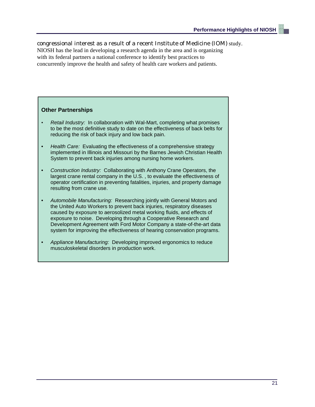congressional interest as a result of a recent Institute of Medicine (IOM) study. NIOSH has the lead in developing a research agenda in the area and is organizing with its federal partners a national conference to identify best practices to concurrently improve the health and safety of health care workers and patients.

#### **Other Partnerships**

- Retail Industry: In collaboration with Wal-Mart, completing what promises to be the most definitive study to date on the effectiveness of back belts for reducing the risk of back injury and low back pain.
- Health Care: Evaluating the effectiveness of a comprehensive strategy implemented in Illinois and Missouri by the Barnes Jewish Christian Health System to prevent back injuries among nursing home workers.
- Construction Industry: Collaborating with Anthony Crane Operators, the largest crane rental company in the U.S. , to evaluate the effectiveness of operator certification in preventing fatalities, injuries, and property damage resulting from crane use.
- Automobile Manufacturing: Researching jointly with General Motors and the United Auto Workers to prevent back injuries, respiratory diseases caused by exposure to aerosolized metal working fluids, and effects of exposure to noise. Developing through a Cooperative Research and Development Agreement with Ford Motor Company a state-of-the-art data system for improving the effectiveness of hearing conservation programs.
- Appliance Manufacturing: Developing improved ergonomics to reduce musculoskeletal disorders in production work.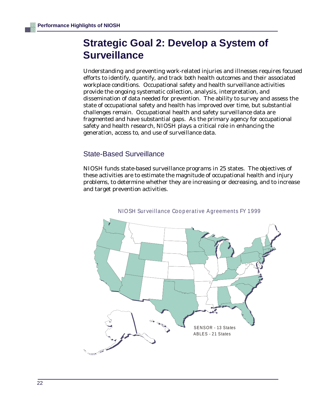## **Strategic Goal 2: Develop a System of Surveillance**

Understanding and preventing work-related injuries and illnesses requires focused efforts to identify, quantify, and track both health outcomes and their associated workplace conditions. Occupational safety and health surveillance activities provide the ongoing systematic collection, analysis, interpretation, and dissemination of data needed for prevention. The ability to survey and assess the state of occupational safety and health has improved over time, but substantial challenges remain. Occupational health and safety surveillance data are fragmented and have substantial gaps. As the primary agency for occupational safety and health research, NIOSH plays a critical role in enhancing the generation, access to, and use of surveillance data.

### State-Based Surveillance

NIOSH funds state-based surveillance programs in 25 states. The objectives of these activities are to estimate the magnitude of occupational health and injury problems, to determine whether they are increasing or decreasing, and to increase and target prevention activities.



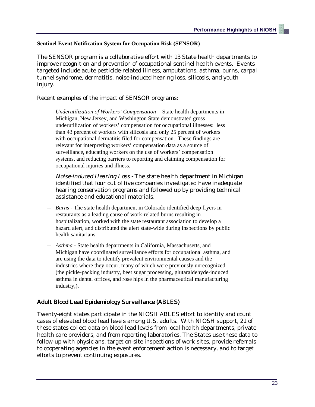#### **Sentinel Event Notification System for Occupation Risk (SENSOR)**

The SENSOR program is a collaborative effort with 13 State health departments to improve recognition and prevention of occupational sentinel health events. Events targeted include acute pesticide-related illness, amputations, asthma, burns, carpal tunnel syndrome, dermatitis, noise-induced hearing loss, silicosis, and youth injury.

Recent examples of the impact of SENSOR programs:

- *Underutilization of Workers' Compensation* State health departments in Michigan, New Jersey, and Washington State demonstrated gross underutilization of workers' compensation for occupational illnesses: less than 43 percent of workers with silicosis and only 25 percent of workers with occupational dermatitis filed for compensation. These findings are relevant for interpreting workers' compensation data as a source of surveillance, educating workers on the use of workers' compensation systems, and reducing barriers to reporting and claiming compensation for occupational injuries and illness.
- *Noise-induced Hearing Loss -* The state health department in Michigan identified that four out of five companies investigated have inadequate hearing conservation programs and followed up by providing technical assistance and educational materials.
- *Burns* The state health department in Colorado identified deep fryers in restaurants as a leading cause of work-related burns resulting in hospitalization, worked with the state restaurant association to develop a hazard alert, and distributed the alert state-wide during inspections by public health sanitarians.
- *Asthma -* State health departments in California, Massachusetts, and Michigan have coordinated surveillance efforts for occupational asthma, and are using the data to identify prevalent environmental causes and the industries where they occur, many of which were previously unrecognized (the pickle-packing industry, beet sugar processing, glutaraldehyde-induced asthma in dental offices, and rose hips in the pharmaceutical manufacturing industry,).

#### Adult Blood Lead Epidemiology Surveillance (ABLES)

Twenty-eight states participate in the NIOSH ABLES effort to identify and count cases of elevated blood lead levels among U.S. adults. With NIOSH support, 21 of these states collect data on blood lead levels from local health departments, private health care providers, and from reporting laboratories. The States use these data to follow-up with physicians, target on-site inspections of work sites, provide referrals to cooperating agencies in the event enforcement action is necessary, and to target efforts to prevent continuing exposures.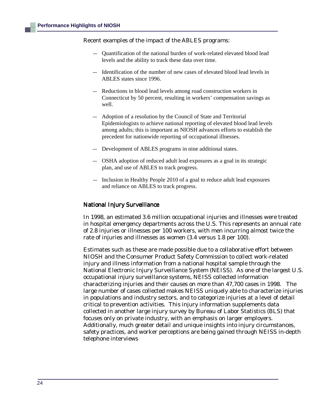Recent examples of the impact of the ABLES programs:

- — Quantification of the national burden of work-related elevated blood lead levels and the ability to track these data over time.
- Identification of the number of new cases of elevated blood lead levels in ABLES states since 1996.
- Reductions in blood lead levels among road construction workers in Connecticut by 50 percent, resulting in workers' compensation savings as well.
- Adoption of a resolution by the Council of State and Territorial Epidemiologists to achieve national reporting of elevated blood lead levels among adults; this is important as NIOSH advances efforts to establish the precedent for nationwide reporting of occupational illnesses.
- Development of ABLES programs in nine additional states.
- OSHA adoption of reduced adult lead exposures as a goal in its strategic plan, and use of ABLES to track progress.
- Inclusion in Healthy People 2010 of a goal to reduce adult lead exposures and reliance on ABLES to track progress.

#### National Injury Surveillance

In 1998, an estimated 3.6 million occupational injuries and illnesses were treated in hospital emergency departments across the U.S. This represents an annual rate of 2.8 injuries or illnesses per 100 workers, with men incurring almost twice the rate of injuries and illnesses as women (3.4 versus 1.8 per 100).

Estimates such as these are made possible due to a collaborative effort between NIOSH and the Consumer Product Safety Commission to collect work-related injury and illness information from a national hospital sample through the National Electronic Injury Surveillance System (NEISS). As one of the largest U.S. occupational injury surveillance systems, NEISS collected information characterizing injuries and their causes on more than 47,700 cases in 1998. The large number of cases collected makes NEISS uniquely able to characterize injuries in populations and industry sectors, and to categorize injuries at a level of detail critical to prevention activities. This injury information supplements data collected in another large injury survey by Bureau of Labor Statistics (BLS) that focuses only on private industry, with an emphasis on larger employers. Additionally, much greater detail and unique insights into injury circumstances, safety practices, and worker perceptions are being gained through NEISS in-depth telephone interviews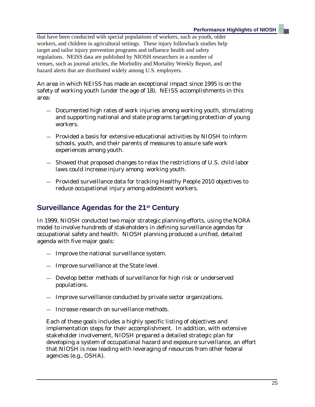that have been conducted with special populations of workers, such as youth, older workers, and children in agricultural settings. These injury followback studies help target and tailor injury prevention programs and influence health and safety regulations. NEISS data are published by NIOSH researchers in a number of venues, such as journal articles, the Morbidity and Mortality Weekly Report, and hazard alerts that are distributed widely among U.S. employers.

An area in which NEISS has made an exceptional impact since 1995 is on the safety of working youth (under the age of 18). NEISS accomplishments in this area:

- Documented high rates of work injuries among working youth, stimulating and supporting national and state programs targeting protection of young workers.
- Provided a basis for extensive educational activities by NIOSH to inform schools, youth, and their parents of measures to assure safe work experiences among youth.
- Showed that proposed changes to relax the restrictions of U.S. child labor laws could increase injury among working youth.
- Provided surveillance data for tracking Healthy People 2010 objectives to reduce occupational injury among adolescent workers.

## **Surveillance Agendas for the 21st Century**

In 1999, NIOSH conducted two major strategic planning efforts, using the NORA model to involve hundreds of stakeholders in defining surveillance agendas for occupational safety and health. NIOSH planning produced a unified, detailed agenda with five major goals:

- Improve the national surveillance system.
- Improve surveillance at the State level.
- Develop better methods of surveillance for high risk or underserved populations.
- Improve surveillance conducted by private sector organizations.
- Increase research on surveillance methods.

Each of these goals includes a highly specific listing of objectives and implementation steps for their accomplishment. In addition, with extensive stakeholder involvement, NIOSH prepared a detailed strategic plan for developing a system of occupational hazard and exposure surveillance, an effort that NIOSH is now leading with leveraging of resources from other federal agencies (e.g., OSHA).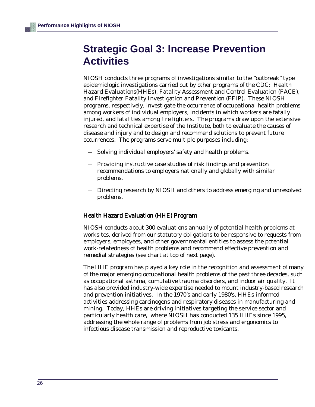## **Strategic Goal 3: Increase Prevention Activities**

NIOSH conducts three programs of investigations similar to the "outbreak" type epidemiologic investigations carried out by other programs of the CDC: Health Hazard Evaluations(HHEs), Fatality Assessment and Control Evaluation (FACE), and Firefighter Fatality Investigation and Prevention (FFIP). These NIOSH programs, respectively, investigate the occurrence of occupational health problems among workers of individual employers, incidents in which workers are fatally injured, and fatalities among fire fighters. The programs draw upon the extensive research and technical expertise of the Institute, both to evaluate the causes of disease and injury and to design and recommend solutions to prevent future occurrences. The programs serve multiple purposes including:

- Solving individual employers' safety and health problems.
- Providing instructive case studies of risk findings and prevention recommendations to employers nationally and globally with similar problems.
- Directing research by NIOSH and others to address emerging and unresolved problems.

#### Health Hazard Evaluation (HHE) Program

NIOSH conducts about 300 evaluations annually of potential health problems at worksites, derived from our statutory obligations to be responsive to requests from employers, employees, and other governmental entities to assess the potential work-relatedness of health problems and recommend effective prevention and remedial strategies (see chart at top of next page).

The HHE program has played a key role in the recognition and assessment of many of the major emerging occupational health problems of the past three decades, such as occupational asthma, cumulative trauma disorders, and indoor air quality. It has also provided industry-wide expertise needed to mount industry-based research and prevention initiatives. In the 1970's and early 1980's, HHEs informed activities addressing carcinogens and respiratory diseases in manufacturing and mining. Today, HHEs are driving initiatives targeting the service sector and particularly health care, where NIOSH has conducted 135 HHEs since 1995, addressing the whole range of problems from job stress and ergonomics to infectious disease transmission and reproductive toxicants.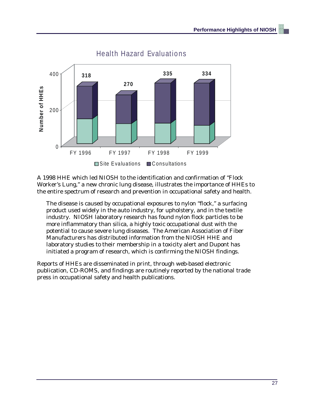

## **Health Hazard Evaluations**

A 1998 HHE which led NIOSH to the identification and confirmation of "Flock Worker's Lung," a new chronic lung disease, illustrates the importance of HHEs to the entire spectrum of research and prevention in occupational safety and health.

The disease is caused by occupational exposures to nylon "flock," a surfacing product used widely in the auto industry, for upholstery, and in the textile industry. NIOSH laboratory research has found nylon flock particles to be more inflammatory than silica, a highly toxic occupational dust with the potential to cause severe lung diseases. The American Association of Fiber Manufacturers has distributed information from the NIOSH HHE and laboratory studies to their membership in a toxicity alert and Dupont has initiated a program of research, which is confirming the NIOSH findings.

Reports of HHEs are disseminated in print, through web-based electronic publication, CD-ROMS, and findings are routinely reported by the national trade press in occupational safety and health publications.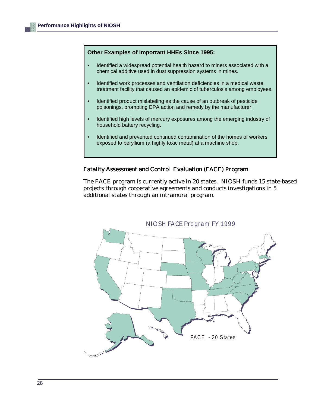#### **Other Examples of Important HHEs Since 1995:**

- Identified a widespread potential health hazard to miners associated with a chemical additive used in dust suppression systems in mines.
- Identified work processes and ventilation deficiencies in a medical waste treatment facility that caused an epidemic of tuberculosis among employees.
- Identified product mislabeling as the cause of an outbreak of pesticide poisonings, prompting EPA action and remedy by the manufacturer.
- Identified high levels of mercury exposures among the emerging industry of household battery recycling.
- Identified and prevented continued contamination of the homes of workers exposed to beryllium (a highly toxic metal) at a machine shop.

#### Fatality Assessment and Control Evaluation (FACE) Program

The FACE program is currently active in 20 states. NIOSH funds 15 state-based projects through cooperative agreements and conducts investigations in 5 additional states through an intramural program.

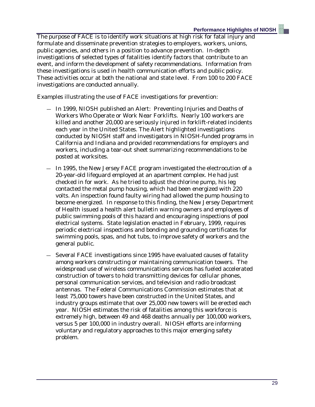The purpose of FACE is to identify work situations at high risk for fatal injury and formulate and disseminate prevention strategies to employers, workers, unions, public agencies, and others in a position to advance prevention. In-depth investigations of selected types of fatalities identify factors that contribute to an event, and inform the development of safety recommendations. Information from these investigations is used in health communication efforts and public policy. These activities occur at both the national and state level. From 100 to 200 FACE investigations are conducted annually.

Examples illustrating the use of FACE investigations for prevention:

- In 1999, NIOSH published an Alert: Preventing Injuries and Deaths of Workers Who Operate or Work Near Forklifts. Nearly 100 workers are killed and another 20,000 are seriously injured in forklift-related incidents each year in the United States. The Alert highlighted investigations conducted by NIOSH staff and investigators in NIOSH-funded programs in California and Indiana and provided recommendations for employers and workers, including a tear-out sheet summarizing recommendations to be posted at worksites.
- In 1995, the New Jersey FACE program investigated the electrocution of a 20-year-old lifeguard employed at an apartment complex. He had just checked in for work. As he tried to adjust the chlorine pump, his leg contacted the metal pump housing, which had been energized with 220 volts. An inspection found faulty wiring had allowed the pump housing to become energized. In response to this finding, the New Jersey Department of Health issued a health alert bulletin warning owners and employees of public swimming pools of this hazard and encouraging inspections of pool electrical systems. State legislation enacted in February, 1999, requires periodic electrical inspections and bonding and grounding certificates for swimming pools, spas, and hot tubs, to improve safety of workers and the general public.
- Several FACE investigations since 1995 have evaluated causes of fatality among workers constructing or maintaining communication towers. The widespread use of wireless communications services has fueled accelerated construction of towers to hold transmitting devices for cellular phones, personal communication services, and television and radio broadcast antennas. The Federal Communications Commission estimates that at least 75,000 towers have been constructed in the United States, and industry groups estimate that over 25,000 new towers will be erected each year. NIOSH estimates the risk of fatalities among this workforce is extremely high, between 49 and 468 deaths annually per 100,000 workers, versus 5 per 100,000 in industry overall. NIOSH efforts are informing voluntary and regulatory approaches to this major emerging safety problem.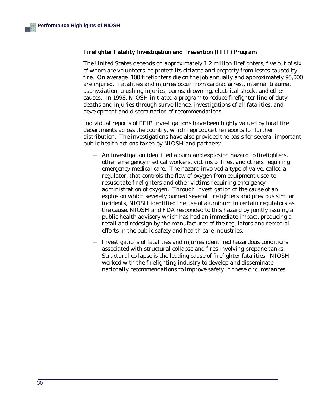#### Firefighter Fatality Investigation and Prevention (FFIP) Program

The United States depends on approximately 1.2 million firefighters, five out of six of whom are volunteers, to protect its citizens and property from losses caused by fire. On average, 100 firefighters die on the job annually and approximately 95,000 are injured. Fatalities and injuries occur from cardiac arrest, internal trauma, asphyxiation, crushing injuries, burns, drowning, electrical shock, and other causes. In 1998, NIOSH initiated a program to reduce firefighter line-of-duty deaths and injuries through surveillance, investigations of all fatalities, and development and dissemination of recommendations.

Individual reports of FFIP investigations have been highly valued by local fire departments across the country, which reproduce the reports for further distribution. The investigations have also provided the basis for several important public health actions taken by NIOSH and partners:

- An investigation identified a burn and explosion hazard to firefighters, other emergency medical workers, victims of fires, and others requiring emergency medical care. The hazard involved a type of valve, called a regulator, that controls the flow of oxygen from equipment used to resuscitate firefighters and other victims requiring emergency administration of oxygen. Through investigation of the cause of an explosion which severely burned several firefighters and previous similar incidents, NIOSH identified the use of aluminum in certain regulators as the cause. NIOSH and FDA responded to this hazard by jointly issuing a public health advisory which has had an immediate impact, producing a recall and redesign by the manufacturer of the regulators and remedial efforts in the public safety and health care industries.
- Investigations of fatalities and injuries identified hazardous conditions associated with structural collapse and fires involving propane tanks. Structural collapse is the leading cause of firefighter fatalities. NIOSH worked with the firefighting industry to develop and disseminate nationally recommendations to improve safety in these circumstances.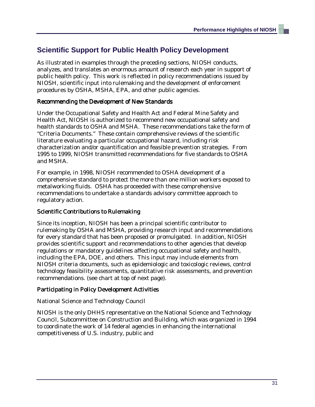## **Scientific Support for Public Health Policy Development**

As illustrated in examples through the preceding sections, NIOSH conducts, analyzes, and translates an enormous amount of research each year in support of public health policy. This work is reflected in policy recommendations issued by NIOSH, scientific input into rulemaking and the development of enforcement procedures by OSHA, MSHA, EPA, and other public agencies.

#### Recommending the Development of New Standards

Under the Occupational Safety and Health Act and Federal Mine Safety and Health Act, NIOSH is authorized to recommend new occupational safety and health standards to OSHA and MSHA. These recommendations take the form of "Criteria Documents." These contain comprehensive reviews of the scientific literature evaluating a particular occupational hazard, including risk characterization and/or quantification and feasible prevention strategies. From 1995 to 1999, NIOSH transmitted recommendations for five standards to OSHA and MSHA.

For example, in 1998, NIOSH recommended to OSHA development of a comprehensive standard to protect the more than one million workers exposed to metalworking fluids. OSHA has proceeded with these comprehensive recommendations to undertake a standards advisory committee approach to regulatory action.

#### Scientific Contributions to Rulemaking

Since its inception, NIOSH has been a principal scientific contributor to rulemaking by OSHA and MSHA, providing research input and recommendations for every standard that has been proposed or promulgated. In addition, NIOSH provides scientific support and recommendations to other agencies that develop regulations or mandatory guidelines affecting occupational safety and health, including the EPA, DOE, and others. This input may include elements from NIOSH criteria documents, such as epidemiologic and toxicologic reviews, control technology feasibility assessments, quantitative risk assessments, and prevention recommendations. (see chart at top of next page).

#### Participating in Policy Development Activities

National Science and Technology Council

NIOSH is the only DHHS representative on the National Science and Technology Council, Subcommittee on Construction and Building, which was organized in 1994 to coordinate the work of 14 federal agencies in enhancing the international competitiveness of U.S. industry, public and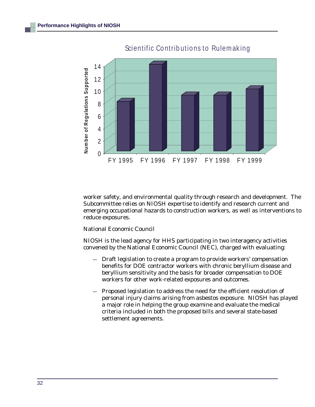

### Scientific Contributions to Rulemaking

worker safety, and environmental quality through research and development. The Subcommittee relies on NIOSH expertise to identify and research current and emerging occupational hazards to construction workers, as well as interventions to reduce exposures.

National Economic Council

NIOSH is the lead agency for HHS participating in two interagency activities convened by the National Economic Council (NEC), charged with evaluating:

- Draft legislation to create a program to provide workers' compensation benefits for DOE contractor workers with chronic beryllium disease and beryllium sensitivity and the basis for broader compensation to DOE workers for other work-related exposures and outcomes.
- Proposed legislation to address the need for the efficient resolution of personal injury claims arising from asbestos exposure. NIOSH has played a major role in helping the group examine and evaluate the medical criteria included in both the proposed bills and several state-based settlement agreements.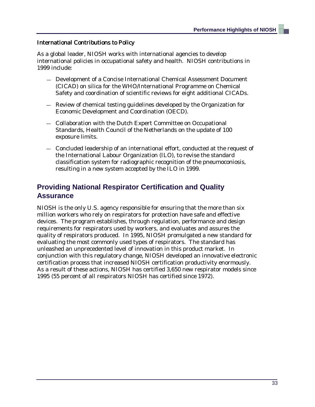#### International Contributions to Policy

As a global leader, NIOSH works with international agencies to develop international policies in occupational safety and health. NIOSH contributions in 1999 include:

- Development of a Concise International Chemical Assessment Document (CICAD) on silica for the WHO/International Programme on Chemical Safety and coordination of scientific reviews for eight additional CICADs.
- Review of chemical testing guidelines developed by the Organization for Economic Development and Coordination (OECD).
- Collaboration with the Dutch Expert Committee on Occupational Standards, Health Council of the Netherlands on the update of 100 exposure limits.
- Concluded leadership of an international effort, conducted at the request of the International Labour Organization (ILO), to revise the standard classification system for radiographic recognition of the pneumoconiosis, resulting in a new system accepted by the ILO in 1999.

## **Providing National Respirator Certification and Quality Assurance**

NIOSH is the only U.S. agency responsible for ensuring that the more than six million workers who rely on respirators for protection have safe and effective devices. The program establishes, through regulation, performance and design requirements for respirators used by workers, and evaluates and assures the quality of respirators produced. In 1995, NIOSH promulgated a new standard for evaluating the most commonly used types of respirators. The standard has unleashed an unprecedented level of innovation in this product market. In conjunction with this regulatory change, NIOSH developed an innovative electronic certification process that increased NIOSH certification productivity enormously. As a result of these actions, NIOSH has certified 3,650 new respirator models since 1995 (55 percent of all respirators NIOSH has certified since 1972).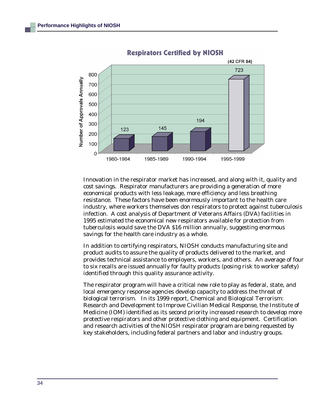

**Respirators Certified by NIOSH** 

Innovation in the respirator market has increased, and along with it, quality and cost savings. Respirator manufacturers are providing a generation of more economical products with less leakage, more efficiency and less breathing resistance. These factors have been enormously important to the health care industry, where workers themselves don respirators to protect against tuberculosis infection. A cost analysis of Department of Veterans Affairs (DVA) facilities in 1995 estimated the economical new respirators available for protection from tuberculosis would save the DVA \$16 million annually, suggesting enormous savings for the health care industry as a whole.

In addition to certifying respirators, NIOSH conducts manufacturing site and product audits to assure the quality of products delivered to the market, and provides technical assistance to employers, workers, and others. An average of four to six recalls are issued annually for faulty products (posing risk to worker safety) identified through this quality assurance activity.

The respirator program will have a critical new role to play as federal, state, and local emergency response agencies develop capacity to address the threat of biological terrorism. In its 1999 report, Chemical and Biological Terrorism: Research and Development to Improve Civilian Medical Response, the Institute of Medicine (IOM) identified as its second priority increased research to develop more protective respirators and other protective clothing and equipment. Certification and research activities of the NIOSH respirator program are being requested by key stakeholders, including federal partners and labor and industry groups.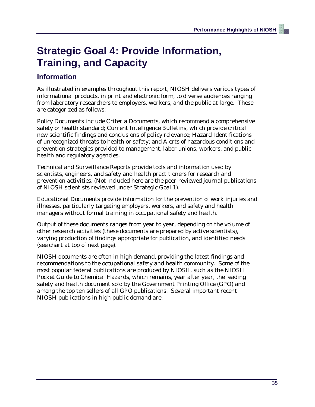## **Strategic Goal 4: Provide Information, Training, and Capacity**

## **Information**

As illustrated in examples throughout this report, NIOSH delivers various types of informational products, in print and electronic form, to diverse audiences ranging from laboratory researchers to employers, workers, and the public at large. These are categorized as follows:

Policy Documents include Criteria Documents, which recommend a comprehensive safety or health standard; Current Intelligence Bulletins, which provide critical new scientific findings and conclusions of policy relevance; Hazard Identifications of unrecognized threats to health or safety; and Alerts of hazardous conditions and prevention strategies provided to management, labor unions, workers, and public health and regulatory agencies.

Technical and Surveillance Reports provide tools and information used by scientists, engineers, and safety and health practitioners for research and prevention activities. (Not included here are the peer-reviewed journal publications of NIOSH scientists reviewed under Strategic Goal 1).

Educational Documents provide information for the prevention of work injuries and illnesses, particularly targeting employers, workers, and safety and health managers without formal training in occupational safety and health.

Output of these documents ranges from year to year, depending on the volume of other research activities (these documents are prepared by active scientists), varying production of findings appropriate for publication, and identified needs (see chart at top of next page).

NIOSH documents are often in high demand, providing the latest findings and recommendations to the occupational safety and health community. Some of the most popular federal publications are produced by NIOSH, such as the NIOSH Pocket Guide to Chemical Hazards, which remains, year after year, the leading safety and health document sold by the Government Printing Office (GPO) and among the top ten sellers of all GPO publications. Several important recent NIOSH publications in high public demand are: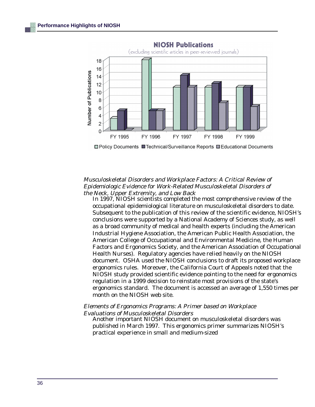

□ Policy Documents ■ Technical/Surveillance Reports ■ Educational Documents

#### Musculoskeletal Disorders and Workplace Factors: A Critical Review of Epidemiologic Evidence for Work-Related Musculoskeletal Disorders of the Neck, Upper Extremity, and Low Back

In 1997, NIOSH scientists completed the most comprehensive review of the occupational epidemiological literature on musculoskeletal disorders to date. Subsequent to the publication of this review of the scientific evidence, NIOSH's conclusions were supported by a National Academy of Sciences study, as well as a broad community of medical and health experts (including the American Industrial Hygiene Association, the American Public Health Association, the American College of Occupational and Environmental Medicine, the Human Factors and Ergonomics Society, and the American Association of Occupational Health Nurses). Regulatory agencies have relied heavily on the NIOSH document. OSHA used the NIOSH conclusions to draft its proposed workplace ergonomics rules. Moreover, the California Court of Appeals noted that the NIOSH study provided scientific evidence pointing to the need for ergonomics regulation in a 1999 decision to reinstate most provisions of the state's ergonomics standard. The document is accessed an average of 1,550 times per month on the NIOSH web site.

#### Elements of Ergonomics Programs: A Primer based on Workplace Evaluations of Musculoskeletal Disorders

Another important NIOSH document on musculoskeletal disorders was published in March 1997. This ergonomics primer summarizes NIOSH's practical experience in small and medium-sized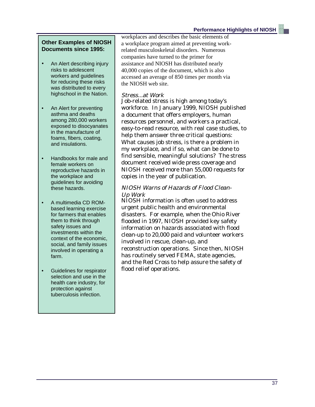#### **Other Examples of NIOSH Documents since 1995:**

- An Alert describing injury risks to adolescent workers and guidelines for reducing these risks was distributed to every highschool in the Nation.
- An Alert for preventing asthma and deaths among 280,000 workers exposed to disocyanates in the manufacture of foams, fibers, coating, and insulations.
- Handbooks for male and female workers on reproductive hazards in the workplace and guidelines for avoiding these hazards.
- A multimedia CD ROMbased learning exercise for farmers that enables them to think through safety issues and investments within the context of the economic, social, and family issues involved in operating a farm.
- Guidelines for respirator selection and use in the health care industry, for protection against tuberculosis infection.

workplaces and describes the basic elements of a workplace program aimed at preventing workrelated musculoskeletal disorders. Numerous companies have turned to the primer for assistance and NIOSH has distributed nearly 40,000 copies of the document, which is also accessed an average of 850 times per month via the NIOSH web site.

#### Stress...at Work

Job-related stress is high among today's workforce. In January 1999, NIOSH published a document that offers employers, human resources personnel, and workers a practical, easy-to-read resource, with real case studies, to help them answer three critical questions: What causes job stress, is there a problem in my workplace, and if so, what can be done to find sensible, meaningful solutions? The stress document received wide press coverage and NIOSH received more than 55,000 requests for copies in the year of publication.

#### NIOSH Warns of Hazards of Flood Clean-Up Work

NIOSH information is often used to address urgent public health and environmental disasters. For example, when the Ohio River flooded in 1997, NIOSH provided key safety information on hazards associated with flood clean-up to 20,000 paid and volunteer workers involved in rescue, clean-up, and reconstruction operations. Since then, NIOSH has routinely served FEMA, state agencies, and the Red Cross to help assure the safety of flood relief operations.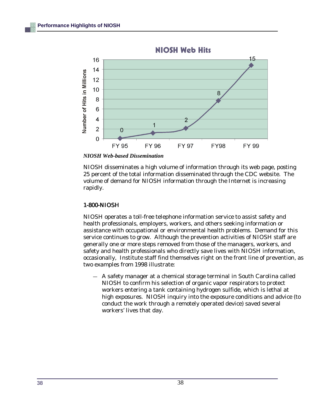

*NIOSH Web-based Dissemination*

NIOSH disseminates a high volume of information through its web page, posting 25 percent of the total information disseminated through the CDC website. The volume of demand for NIOSH information through the Internet is increasing rapidly.

#### 1-800-NIOSH

NIOSH operates a toll-free telephone information service to assist safety and health professionals, employers, workers, and others seeking information or assistance with occupational or environmental health problems. Demand for this service continues to grow. Although the prevention activities of NIOSH staff are generally one or more steps removed from those of the managers, workers, and safety and health professionals who directly save lives with NIOSH information, occasionally, Institute staff find themselves right on the front line of prevention, as two examples from 1998 illustrate:

— A safety manager at a chemical storage terminal in South Carolina called NIOSH to confirm his selection of organic vapor respirators to protect workers entering a tank containing hydrogen sulfide, which is lethal at high exposures. NIOSH inquiry into the exposure conditions and advice (to conduct the work through a remotely operated device) saved several workers' lives that day.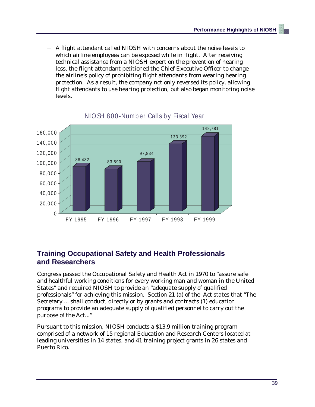— A flight attendant called NIOSH with concerns about the noise levels to which airline employees can be exposed while in flight. After receiving technical assistance from a NIOSH expert on the prevention of hearing loss, the flight attendant petitioned the Chief Executive Officer to change the airline's policy of prohibiting flight attendants from wearing hearing protection. As a result, the company not only reversed its policy, allowing flight attendants to use hearing protection, but also began monitoring noise levels.



### NIO SH 800-Number Calls by Fiscal Year

## **Training Occupational Safety and Health Professionals and Researchers**

Congress passed the Occupational Safety and Health Act in 1970 to "assure safe and healthful working conditions for every working man and woman in the United States" and required NIOSH to provide an "adequate supply of qualified professionals" for achieving this mission. Section 21 (a) of the Act states that "The Secretary ... shall conduct, directly or by grants and contracts (1) education programs to provide an adequate supply of qualified personnel to carry out the purpose of the Act..."

Pursuant to this mission, NIOSH conducts a \$13.9 million training program comprised of a network of 15 regional Education and Research Centers located at leading universities in 14 states, and 41 training project grants in 26 states and Puerto Rico.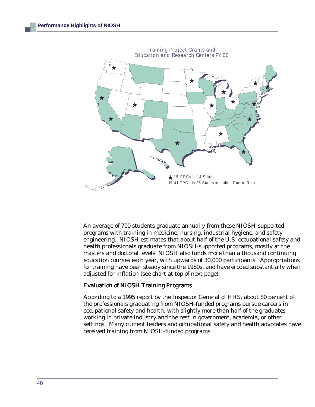

An average of 700 students graduate annually from these NIOSH-supported programs with training in medicine, nursing, industrial hygiene, and safety engineering. NIOSH estimates that about half of the U.S. occupational safety and health professionals graduate from NIOSH-supported programs, mostly at the masters and doctoral levels. NIOSH also funds more than a thousand continuing education courses each year, with upwards of 30,000 participants. Appropriations for training have been steady since the 1980s, and have eroded substantially when adjusted for inflation (see chart at top of next page).

#### Evaluation of NIOSH Training Programs

According to a 1995 report by the Inspector General of HHS, about 80 percent of the professionals graduating from NIOSH-funded programs pursue careers in occupational safety and health, with slightly more than half of the graduates working in private industry and the rest in government, academia, or other settings. Many current leaders and occupational safety and health advocates have received training from NIOSH-funded programs.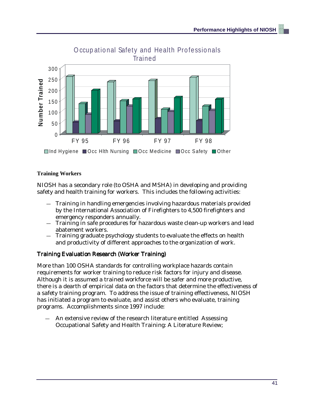

# O ccup ational Safety and Health Professionals

#### **Training Workers**

NIOSH has a secondary role (to OSHA and MSHA) in developing and providing safety and health training for workers. This includes the following activities:

- Training in handling emergencies involving hazardous materials provided by the International Association of Firefighters to 4,500 firefighters and emergency responders annually.
- Training in safe procedures for hazardous waste clean-up workers and lead abatement workers.
- Training graduate psychology students to evaluate the effects on health and productivity of different approaches to the organization of work.

#### Training Evaluation Research (Worker Training)

More than 100 OSHA standards for controlling workplace hazards contain requirements for worker training to reduce risk factors for injury and disease. Although it is assumed a trained workforce will be safer and more productive, there is a dearth of empirical data on the factors that determine the effectiveness of a safety training program. To address the issue of training effectiveness, NIOSH has initiated a program to evaluate, and assist others who evaluate, training programs. Accomplishments since 1997 include:

An extensive review of the research literature entitled Assessing Occupational Safety and Health Training: A Literature Review;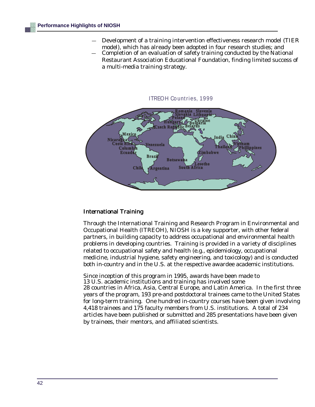- — Development of a training intervention effectiveness research model (TIER model), which has already been adopted in four research studies; and
- Completion of an evaluation of safety training conducted by the National Restaurant Association Educational Foundation, finding limited success of a multi-media training strategy.



#### International Training

Through the International Training and Research Program in Environmental and Occupational Health (ITREOH), NIOSH is a key supporter, with other federal partners, in building capacity to address occupational and environmental health problems in developing countries. Training is provided in a variety of disciplines related to occupational safety and health (e.g., epidemiology, occupational medicine, industrial hygiene, safety engineering, and toxicology) and is conducted both in-country and in the U.S. at the respective awardee academic institutions.

Since inception of this program in 1995, awards have been made to 13 U.S. academic institutions and training has involved some 28 countries in Africa, Asia, Central Europe, and Latin America. In the first three years of the program, 193 pre-and postdoctoral trainees came to the United States for long-term training. One hundred in-country courses have been given involving 4,418 trainees and 175 faculty members from U.S. institutions. A total of 234 articles have been published or submitted and 285 presentations have been given by trainees, their mentors, and affiliated scientists.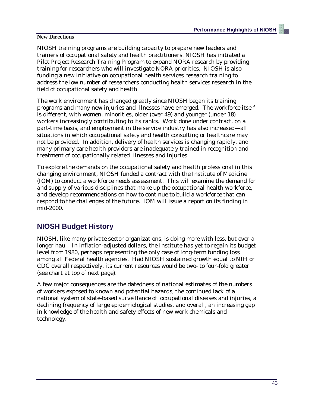#### **New Directions**

NIOSH training programs are building capacity to prepare new leaders and trainers of occupational safety and health practitioners. NIOSH has initiated a Pilot Project Research Training Program to expand NORA research by providing training for researchers who will investigate NORA priorities. NIOSH is also funding a new initiative on occupational health services research training to address the low number of researchers conducting health services research in the field of occupational safety and health.

The work environment has changed greatly since NIOSH began its training programs and many new injuries and illnesses have emerged. The workforce itself is different, with women, minorities, older (over 49) and younger (under 18) workers increasingly contributing to its ranks. Work done under contract, on a part-time basis, and employment in the service industry has also increased—all situations in which occupational safety and health consulting or healthcare may not be provided. In addition, delivery of health services is changing rapidly, and many primary care health providers are inadequately trained in recognition and treatment of occupationally related illnesses and injuries.

To explore the demands on the occupational safety and health professional in this changing environment, NIOSH funded a contract with the Institute of Medicine (IOM) to conduct a workforce needs assessment. This will examine the demand for and supply of various disciplines that make up the occupational health workforce, and develop recommendations on how to continue to build a workforce that can respond to the challenges of the future. IOM will issue a report on its finding in mid-2000.

### **NIOSH Budget History**

NIOSH, like many private sector organizations, is doing more with less, but over a longer haul. In inflation-adjusted dollars, the Institute has yet to regain its budget level from 1980, perhaps representing the only case of long-term funding loss among all Federal health agencies. Had NIOSH sustained growth equal to NIH or CDC overall respectively, its current resources would be two- to four-fold greater (see chart at top of next page).

A few major consequences are the datedness of national estimates of the numbers of workers exposed to known and potential hazards, the continued lack of a national system of state-based surveillance of occupational diseases and injuries, a declining frequency of large epidemiological studies, and overall, an increasing gap in knowledge of the health and safety effects of new work chemicals and technology.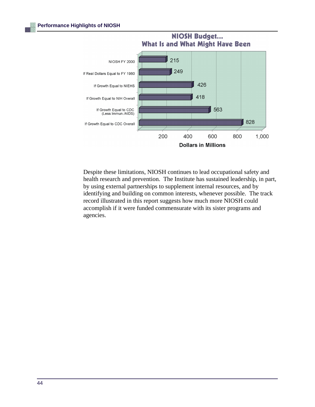

Despite these limitations, NIOSH continues to lead occupational safety and health research and prevention. The Institute has sustained leadership, in part, by using external partnerships to supplement internal resources, and by identifying and building on common interests, whenever possible. The track record illustrated in this report suggests how much more NIOSH could accomplish if it were funded commensurate with its sister programs and agencies.